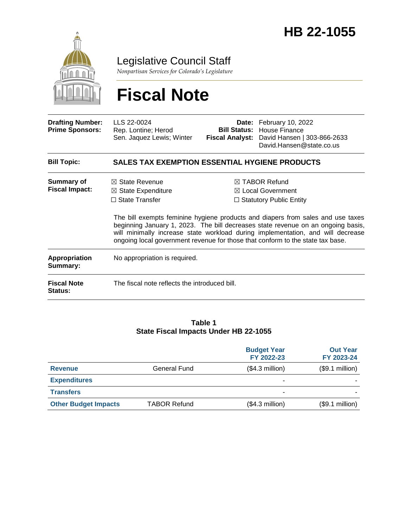

Legislative Council Staff

*Nonpartisan Services for Colorado's Legislature*

# **Fiscal Note**

| <b>Drafting Number:</b><br><b>Prime Sponsors:</b> | LLS 22-0024<br>Rep. Lontine; Herod<br>Sen. Jaquez Lewis; Winter                     | Bill Status:<br><b>Fiscal Analyst:</b> | Date: February 10, 2022<br>House Finance<br>David Hansen   303-866-2633<br>David.Hansen@state.co.us                                                                                                                                                                                                                                                                                                                                    |
|---------------------------------------------------|-------------------------------------------------------------------------------------|----------------------------------------|----------------------------------------------------------------------------------------------------------------------------------------------------------------------------------------------------------------------------------------------------------------------------------------------------------------------------------------------------------------------------------------------------------------------------------------|
| <b>Bill Topic:</b>                                | <b>SALES TAX EXEMPTION ESSENTIAL HYGIENE PRODUCTS</b>                               |                                        |                                                                                                                                                                                                                                                                                                                                                                                                                                        |
| <b>Summary of</b><br><b>Fiscal Impact:</b>        | $\boxtimes$ State Revenue<br>$\boxtimes$ State Expenditure<br>$\Box$ State Transfer |                                        | $\boxtimes$ TABOR Refund<br>$\boxtimes$ Local Government<br>$\Box$ Statutory Public Entity<br>The bill exempts feminine hygiene products and diapers from sales and use taxes<br>beginning January 1, 2023. The bill decreases state revenue on an ongoing basis,<br>will minimally increase state workload during implementation, and will decrease<br>ongoing local government revenue for those that conform to the state tax base. |
| <b>Appropriation</b><br>Summary:                  | No appropriation is required.                                                       |                                        |                                                                                                                                                                                                                                                                                                                                                                                                                                        |
| <b>Fiscal Note</b><br><b>Status:</b>              | The fiscal note reflects the introduced bill.                                       |                                        |                                                                                                                                                                                                                                                                                                                                                                                                                                        |

#### **Table 1 State Fiscal Impacts Under HB 22-1055**

|                             |                     | <b>Budget Year</b><br>FY 2022-23 | <b>Out Year</b><br>FY 2023-24 |
|-----------------------------|---------------------|----------------------------------|-------------------------------|
| <b>Revenue</b>              | <b>General Fund</b> | $($4.3$ million)                 | (\$9.1 million)               |
| <b>Expenditures</b>         |                     | ۰                                |                               |
| <b>Transfers</b>            |                     | ۰                                |                               |
| <b>Other Budget Impacts</b> | <b>TABOR Refund</b> | $($4.3$ million)                 | (\$9.1 million)               |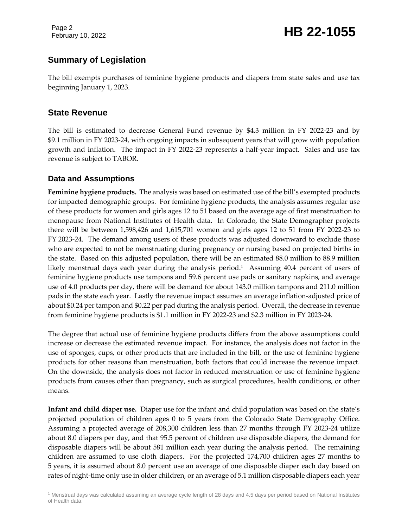Page 2

# February 10, 2022 **HB 22-1055**

## **Summary of Legislation**

The bill exempts purchases of feminine hygiene products and diapers from state sales and use tax beginning January 1, 2023.

#### **State Revenue**

The bill is estimated to decrease General Fund revenue by \$4.3 million in FY 2022-23 and by \$9.1 million in FY 2023-24, with ongoing impacts in subsequent years that will grow with population growth and inflation. The impact in FY 2022-23 represents a half-year impact. Sales and use tax revenue is subject to TABOR.

#### **Data and Assumptions**

**Feminine hygiene products.** The analysis was based on estimated use of the bill's exempted products for impacted demographic groups. For feminine hygiene products, the analysis assumes regular use of these products for women and girls ages 12 to 51 based on the average age of first menstruation to menopause from National Institutes of Health data. In Colorado, the State Demographer projects there will be between 1,598,426 and 1,615,701 women and girls ages 12 to 51 from FY 2022-23 to FY 2023-24. The demand among users of these products was adjusted downward to exclude those who are expected to not be menstruating during pregnancy or nursing based on projected births in the state. Based on this adjusted population, there will be an estimated 88.0 million to 88.9 million likely menstrual days each year during the analysis period.<sup>1</sup> Assuming 40.4 percent of users of feminine hygiene products use tampons and 59.6 percent use pads or sanitary napkins, and average use of 4.0 products per day, there will be demand for about 143.0 million tampons and 211.0 million pads in the state each year. Lastly the revenue impact assumes an average inflation-adjusted price of about \$0.24 per tampon and \$0.22 per pad during the analysis period. Overall, the decrease in revenue from feminine hygiene products is \$1.1 million in FY 2022-23 and \$2.3 million in FY 2023-24.

The degree that actual use of feminine hygiene products differs from the above assumptions could increase or decrease the estimated revenue impact. For instance, the analysis does not factor in the use of sponges, cups, or other products that are included in the bill, or the use of feminine hygiene products for other reasons than menstruation, both factors that could increase the revenue impact. On the downside, the analysis does not factor in reduced menstruation or use of feminine hygiene products from causes other than pregnancy, such as surgical procedures, health conditions, or other means.

**Infant and child diaper use.** Diaper use for the infant and child population was based on the state's projected population of children ages 0 to 5 years from the Colorado State Demography Office. Assuming a projected average of 208,300 children less than 27 months through FY 2023-24 utilize about 8.0 diapers per day, and that 95.5 percent of children use disposable diapers, the demand for disposable diapers will be about 581 million each year during the analysis period. The remaining children are assumed to use cloth diapers. For the projected 174,700 children ages 27 months to 5 years, it is assumed about 8.0 percent use an average of one disposable diaper each day based on rates of night-time only use in older children, or an average of 5.1 million disposable diapers each year

 $\overline{a}$ <sup>1</sup> Menstrual days was calculated assuming an average cycle length of 28 days and 4.5 days per period based on National Institutes of Health data.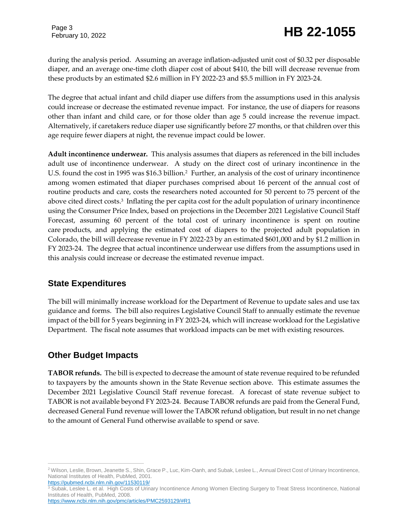during the analysis period. Assuming an average inflation-adjusted unit cost of \$0.32 per disposable diaper, and an average one-time cloth diaper cost of about \$410, the bill will decrease revenue from these products by an estimated \$2.6 million in FY 2022-23 and \$5.5 million in FY 2023-24.

The degree that actual infant and child diaper use differs from the assumptions used in this analysis could increase or decrease the estimated revenue impact. For instance, the use of diapers for reasons other than infant and child care, or for those older than age 5 could increase the revenue impact. Alternatively, if caretakers reduce diaper use significantly before 27 months, or that children over this age require fewer diapers at night, the revenue impact could be lower.

**Adult incontinence underwear.** This analysis assumes that diapers as referenced in the bill includes adult use of incontinence underwear. A study on the direct cost of urinary incontinence in the U.S. found the cost in 1995 was \$16.3 billion.<sup>2</sup> Further, an analysis of the cost of urinary incontinence among women estimated that diaper purchases comprised about 16 percent of the annual cost of routine products and care, costs the researchers noted accounted for 50 percent to 75 percent of the above cited direct costs.<sup>3</sup> Inflating the per capita cost for the adult population of urinary incontinence using the Consumer Price Index, based on projections in the December 2021 Legislative Council Staff Forecast, assuming 60 percent of the total cost of urinary incontinence is spent on routine care products, and applying the estimated cost of diapers to the projected adult population in Colorado, the bill will decrease revenue in FY 2022-23 by an estimated \$601,000 and by \$1.2 million in FY 2023-24. The degree that actual incontinence underwear use differs from the assumptions used in this analysis could increase or decrease the estimated revenue impact.

## **State Expenditures**

The bill will minimally increase workload for the Department of Revenue to update sales and use tax guidance and forms. The bill also requires Legislative Council Staff to annually estimate the revenue impact of the bill for 5 years beginning in FY 2023-24, which will increase workload for the Legislative Department. The fiscal note assumes that workload impacts can be met with existing resources.

## **Other Budget Impacts**

**TABOR refunds.** The bill is expected to decrease the amount of state revenue required to be refunded to taxpayers by the amounts shown in the State Revenue section above. This estimate assumes the December 2021 Legislative Council Staff revenue forecast. A forecast of state revenue subject to TABOR is not available beyond FY 2023-24. Because TABOR refunds are paid from the General Fund, decreased General Fund revenue will lower the TABOR refund obligation, but result in no net change to the amount of General Fund otherwise available to spend or save.

 $\overline{a}$ <sup>2</sup> Wilson, Leslie, Brown, Jeanette S., Shin, Grace P., Luc, Kim-Oanh, and Subak, Leslee L., Annual Direct Cost of Urinary Incontinence, National Institutes of Health, PubMed, 2001. <https://pubmed.ncbi.nlm.nih.gov/11530119/>

<sup>&</sup>lt;sup>3</sup> Subak, Leslee L. et al. High Costs of Urinary Incontinence Among Women Electing Surgery to Treat Stress Incontinence, National Institutes of Health, PubMed, 2008.

<https://www.ncbi.nlm.nih.gov/pmc/articles/PMC2593129/#R1>